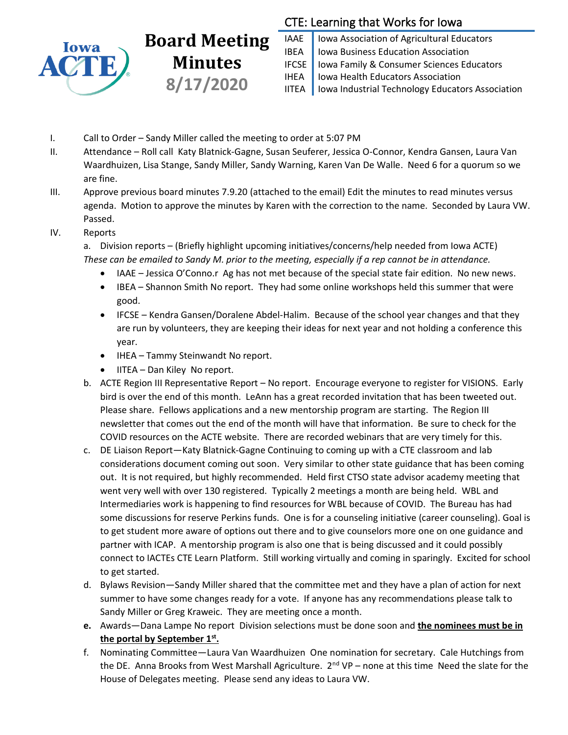

## **Board Meeting Minutes 8/17/2020**

## CTE: Learning that Works for Iowa

IAAE | Iowa Association of Agricultural Educators IBEA | Iowa Business Education Association IFCSE Iowa Family & Consumer Sciences Educators IHEA | Iowa Health Educators Association IITEA | Iowa Industrial Technology Educators Association

- I. Call to Order Sandy Miller called the meeting to order at 5:07 PM
- II. Attendance Roll call Katy Blatnick-Gagne, Susan Seuferer, Jessica O-Connor, Kendra Gansen, Laura Van Waardhuizen, Lisa Stange, Sandy Miller, Sandy Warning, Karen Van De Walle. Need 6 for a quorum so we are fine.
- III. Approve previous board minutes 7.9.20 (attached to the email) Edit the minutes to read minutes versus agenda. Motion to approve the minutes by Karen with the correction to the name. Seconded by Laura VW. Passed.

## IV. Reports

a. Division reports – (Briefly highlight upcoming initiatives/concerns/help needed from Iowa ACTE) *These can be emailed to Sandy M. prior to the meeting, especially if a rep cannot be in attendance.*

- IAAE Jessica O'Conno.r Ag has not met because of the special state fair edition. No new news.
- IBEA Shannon Smith No report. They had some online workshops held this summer that were good.
- IFCSE Kendra Gansen/Doralene Abdel-Halim. Because of the school year changes and that they are run by volunteers, they are keeping their ideas for next year and not holding a conference this year.
- IHEA Tammy Steinwandt No report.
- IITEA Dan Kiley No report.
- b. ACTE Region III Representative Report No report. Encourage everyone to register for VISIONS. Early bird is over the end of this month. LeAnn has a great recorded invitation that has been tweeted out. Please share. Fellows applications and a new mentorship program are starting. The Region III newsletter that comes out the end of the month will have that information. Be sure to check for the COVID resources on the ACTE website. There are recorded webinars that are very timely for this.
- c. DE Liaison Report—Katy Blatnick-Gagne Continuing to coming up with a CTE classroom and lab considerations document coming out soon. Very similar to other state guidance that has been coming out. It is not required, but highly recommended. Held first CTSO state advisor academy meeting that went very well with over 130 registered. Typically 2 meetings a month are being held. WBL and Intermediaries work is happening to find resources for WBL because of COVID. The Bureau has had some discussions for reserve Perkins funds. One is for a counseling initiative (career counseling). Goal is to get student more aware of options out there and to give counselors more one on one guidance and partner with ICAP. A mentorship program is also one that is being discussed and it could possibly connect to IACTEs CTE Learn Platform. Still working virtually and coming in sparingly. Excited for school to get started.
- d. Bylaws Revision—Sandy Miller shared that the committee met and they have a plan of action for next summer to have some changes ready for a vote. If anyone has any recommendations please talk to Sandy Miller or Greg Kraweic. They are meeting once a month.
- **e.** Awards—Dana Lampe No report Division selections must be done soon and **the nominees must be in the portal by September 1st .**
- f. Nominating Committee—Laura Van Waardhuizen One nomination for secretary. Cale Hutchings from the DE. Anna Brooks from West Marshall Agriculture.  $2^{nd} VP$  – none at this time Need the slate for the House of Delegates meeting. Please send any ideas to Laura VW.